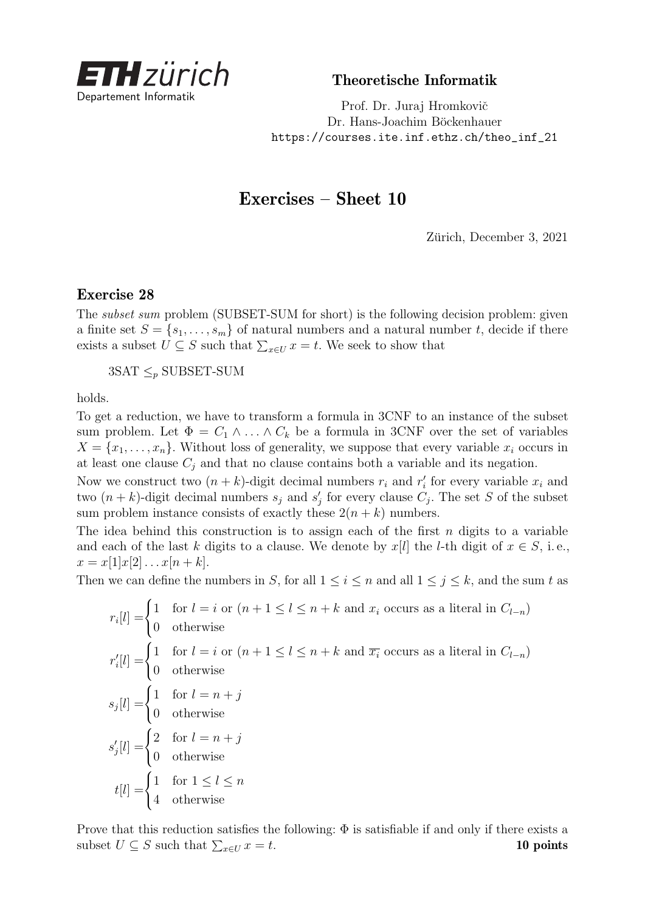

Theoretische Informatik

Prof. Dr. Juraj Hromkovič Dr. Hans-Joachim Böckenhauer [https://courses.ite.inf.ethz.ch/theo\\_inf\\_21](https://courses.ite.inf.ethz.ch/theo_inf_21)

## Exercises – Sheet 10

Zürich, December 3, 2021

## Exercise 28

The subset sum problem (SUBSET-SUM for short) is the following decision problem: given a finite set  $S = \{s_1, \ldots, s_m\}$  of natural numbers and a natural number *t*, decide if there exists a subset  $U \subseteq S$  such that  $\sum_{x \in U} x = t$ . We seek to show that

 $3SAT \leq p$  SUBSET-SUM

holds.

To get a reduction, we have to transform a formula in 3CNF to an instance of the subset sum problem. Let  $\Phi = C_1 \wedge \ldots \wedge C_k$  be a formula in 3CNF over the set of variables  $X = \{x_1, \ldots, x_n\}$ . Without loss of generality, we suppose that every variable  $x_i$  occurs in at least one clause  $C_j$  and that no clause contains both a variable and its negation.

Now we construct two  $(n + k)$ -digit decimal numbers  $r_i$  and  $r'_i$  for every variable  $x_i$  and two  $(n + k)$ -digit decimal numbers  $s_j$  and  $s'_j$  for every clause  $C_j$ . The set *S* of the subset sum problem instance consists of exactly these  $2(n + k)$  numbers.

The idea behind this construction is to assign each of the first *n* digits to a variable and each of the last *k* digits to a clause. We denote by  $x[l]$  the *l*-th digit of  $x \in S$ , i.e.,  $x = x[1]x[2] \ldots x[n+k].$ 

Then we can define the numbers in *S*, for all  $1 \leq i \leq n$  and all  $1 \leq j \leq k$ , and the sum *t* as

 $r_i[l] =$  $\sqrt{ }$  $\int$  1 for *l* = *i* or  $(n + 1 \le l \le n + k$  and  $x_i$  occurs as a literal in  $C_{l-n}$ )  $\mathcal{L}$ 0 otherwise  $r'_i[l] =$  $\sqrt{ }$  $\left| \right|$  $\mathcal{L}$ 1 for  $l = i$  or  $(n + 1 \leq l \leq n + k$  and  $\overline{x_i}$  occurs as a literal in  $C_{l-n}$ ) 0 otherwise  $s_j[l] =$  $\sqrt{ }$  $\left| \right|$  $\mathcal{L}$ 1 for  $l = n + j$ 0 otherwise  $s'_{j}[l] =$  $\sqrt{ }$  $\int$  $\mathcal{L}$ 2 for  $l = n + j$ 0 otherwise  $t[l] =$  $\sqrt{ }$  $\int$  $\mathcal{L}$ 1 for  $1 \leq l \leq n$ 4 otherwise

Prove that this reduction satisfies the following:  $\Phi$  is satisfiable if and only if there exists a subset  $U \subseteq S$  such that  $\sum_{x \in U} x = t$ . 10 points